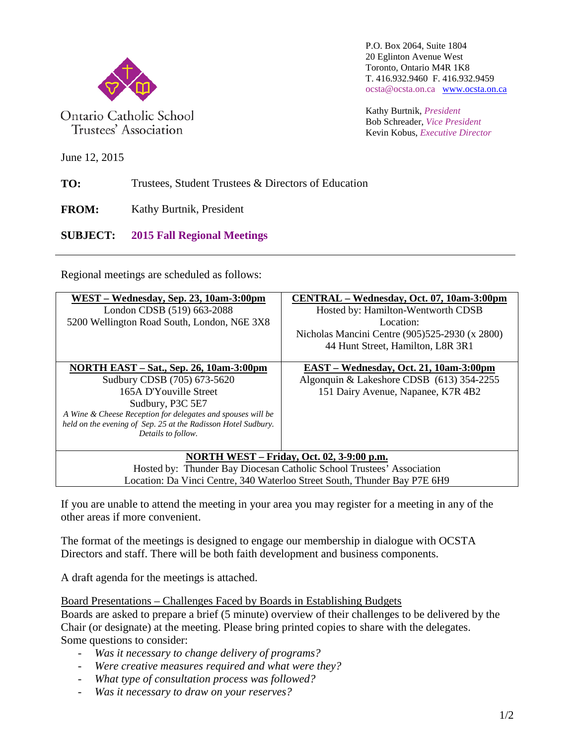

Ontario Catholic School Trustees' Association

P.O. Box 2064, Suite 1804 20 Eglinton Avenue West Toronto, Ontario M4R 1K8 T. 416.932.9460 F. 416.932.9459 ocsta@ocsta.on.ca [www.ocsta.on.ca](http://www.ocsta.on.ca/)

Kathy Burtnik, *President* Bob Schreader, *Vice President* Kevin Kobus, *Executive Director*

June 12, 2015

**TO:** Trustees, Student Trustees & Directors of Education

**FROM:** Kathy Burtnik, President

**SUBJECT: 2015 Fall Regional Meetings**

Regional meetings are scheduled as follows:

| WEST – Wednesday, Sep. 23, 10am-3:00pm<br>London CDSB (519) 663-2088<br>5200 Wellington Road South, London, N6E 3X8                                                                                                                                                               | CENTRAL – Wednesday, Oct. 07, 10am-3:00pm<br>Hosted by: Hamilton-Wentworth CDSB<br>Location:<br>Nicholas Mancini Centre (905)525-2930 (x 2800)<br>44 Hunt Street, Hamilton, L8R 3R1 |  |  |  |
|-----------------------------------------------------------------------------------------------------------------------------------------------------------------------------------------------------------------------------------------------------------------------------------|-------------------------------------------------------------------------------------------------------------------------------------------------------------------------------------|--|--|--|
| <b>NORTH EAST – Sat., Sep. 26, 10am-3:00pm</b><br>Sudbury CDSB (705) 673-5620<br>165A D'Youville Street<br>Sudbury, P3C 5E7<br>A Wine & Cheese Reception for delegates and spouses will be<br>held on the evening of Sep. 25 at the Radisson Hotel Sudbury.<br>Details to follow. | EAST – Wednesday, Oct. 21, 10am-3:00pm<br>Algonquin & Lakeshore CDSB (613) 354-2255<br>151 Dairy Avenue, Napanee, K7R 4B2                                                           |  |  |  |
| <b>NORTH WEST – Friday, Oct. 02, 3-9:00 p.m.</b><br>Hosted by: Thunder Bay Diocesan Catholic School Trustees' Association<br>Location: Da Vinci Centre, 340 Waterloo Street South, Thunder Bay P7E 6H9                                                                            |                                                                                                                                                                                     |  |  |  |

If you are unable to attend the meeting in your area you may register for a meeting in any of the other areas if more convenient.

The format of the meetings is designed to engage our membership in dialogue with OCSTA Directors and staff. There will be both faith development and business components.

A draft agenda for the meetings is attached.

Board Presentations – Challenges Faced by Boards in Establishing Budgets

Boards are asked to prepare a brief (5 minute) overview of their challenges to be delivered by the Chair (or designate) at the meeting. Please bring printed copies to share with the delegates. Some questions to consider:

- *Was it necessary to change delivery of programs?*
- *Were creative measures required and what were they?*
- *What type of consultation process was followed?*
- *Was it necessary to draw on your reserves?*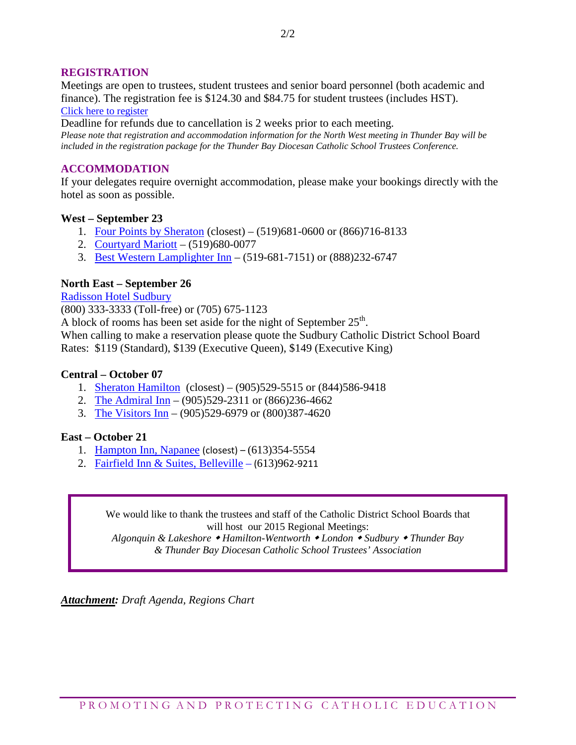#### **REGISTRATION**

Meetings are open to trustees, student trustees and senior board personnel (both academic and finance). The registration fee is \$124.30 and \$84.75 for student trustees (includes HST). [Click here to register](http://www.ocsta.on.ca/ocsta/wp-admin/admin-ajax.php?action=frm_forms_preview&form=tkwqex2)

Deadline for refunds due to cancellation is 2 weeks prior to each meeting.

*Please note that registration and accommodation information for the North West meeting in Thunder Bay will be included in the registration package for the Thunder Bay Diocesan Catholic School Trustees Conference.*

#### **ACCOMMODATION**

If your delegates require overnight accommodation, please make your bookings directly with the hotel as soon as possible.

#### **West – September 23**

- 1. [Four Points by Sheraton](http://www.fourpointslondonontario.com/) (closest) (519)681-0600 or (866)716-8133
- 2. [Courtyard Mariott](http://www.marriott.com/hotels/travel/yxucy-courtyard-london/) (519)680-0077
- 3. [Best Western Lamplighter Inn](http://www.lamplighterinn.ca/) (519-681-7151) or (888)232-6747

#### **North East – September 26**

[Radisson Hotel Sudbury](http://www.radisson.com/sudbury-hotel-on-p3e4s4/onsudbur)

(800) 333-3333 (Toll-free) or (705) 675-1123

A block of rooms has been set aside for the night of September  $25<sup>th</sup>$ .

When calling to make a reservation please quote the Sudbury Catholic District School Board Rates: \$119 (Standard), \$139 (Executive Queen), \$149 (Executive King)

#### **Central – October 07**

- 1. [Sheraton Hamilton](http://www.reservationcounter.com/hotels/show/105459/sheraton-hamilton-hotel/?TID=sUUfh5r4F_dc|pcrid|50243347691&utm_source=google&utm_medium=cpc&utm_term=sheraton%20hamilton%20ontario&utm_campaign=Hotel%20Chain%20-%20S&mm_campaign=61e23501c3a7666376c173fa44c75e69&keyword=sheraton%20hamilton%20ontario&hotelid=105459&gclid=CjwKEAjwhbCrBRCO7-e7vuXqiT4SJAB2B5u7XMcrdftrEaqwY4HTzh91VJHJWFOB_1cFzmEiRnNnFBoCYrTw_wcB) (closest) (905)529-5515 or (844)586-9418
- 2. [The Admiral Inn](http://www.admiralinnhamilton.com/contact_us.html) (905)529-2311 or (866)236-4662
- 3. [The Visitors Inn](http://www.visitorsinn.com/index.php) (905)529-6979 or (800)387-4620

#### **East – October 21**

- 1. [Hampton Inn, Napanee](http://www.hilton.com/search/hp/ca/0/napanee/0/00000000000/0/0/0/0/50?WT.srch=1) (closest) (613)354-5554
- 2. [Fairfield Inn & Suites, Belleville](http://www.marriott.com/hotels/travel/ygkfi-fairfield-inn-and-suites-belleville/) (613)962-9211

We would like to thank the trustees and staff of the Catholic District School Boards that will host our 2015 Regional Meetings:

*Algonquin & Lakeshore Hamilton-Wentworth London Sudbury Thunder Bay & Thunder Bay Diocesan Catholic School Trustees' Association*

*Attachment: Draft Agenda, Regions Chart*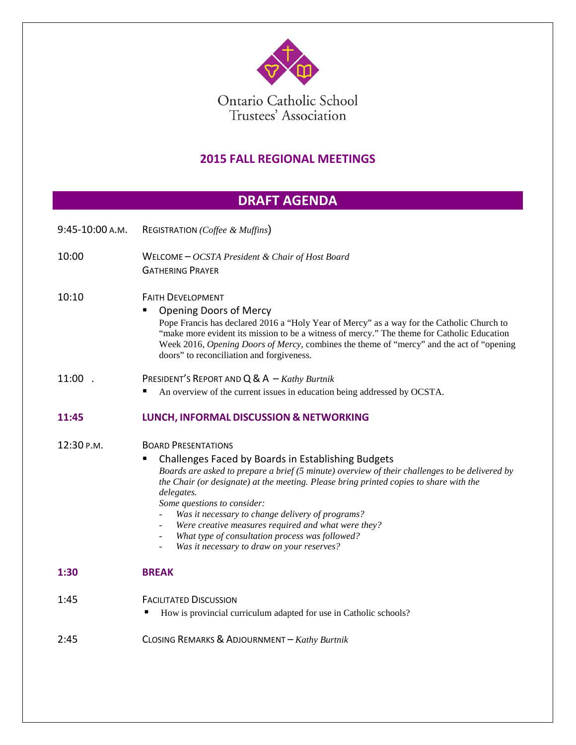

Ontario Catholic School<br>Trustees' Association

### **2015 FALL REGIONAL MEETINGS**

# **DRAFT AGENDA**

| 9:45-10:00 A.M. | REGISTRATION (Coffee & Muffins)                                                                                                                                                                                                                                                                                                                                                                                                                                                                                                                         |  |  |
|-----------------|---------------------------------------------------------------------------------------------------------------------------------------------------------------------------------------------------------------------------------------------------------------------------------------------------------------------------------------------------------------------------------------------------------------------------------------------------------------------------------------------------------------------------------------------------------|--|--|
| 10:00           | WELCOME $- OCSTA$ President & Chair of Host Board<br><b>GATHERING PRAYER</b>                                                                                                                                                                                                                                                                                                                                                                                                                                                                            |  |  |
| 10:10           | <b>FAITH DEVELOPMENT</b><br><b>Opening Doors of Mercy</b><br>Pope Francis has declared 2016 a "Holy Year of Mercy" as a way for the Catholic Church to<br>"make more evident its mission to be a witness of mercy." The theme for Catholic Education<br>Week 2016, Opening Doors of Mercy, combines the theme of "mercy" and the act of "opening<br>doors" to reconciliation and forgiveness.                                                                                                                                                           |  |  |
| 11:00.          | PRESIDENT'S REPORT AND $Q & A - \textit{Kathy Burtnik}$<br>An overview of the current issues in education being addressed by OCSTA.                                                                                                                                                                                                                                                                                                                                                                                                                     |  |  |
| 11:45           | LUNCH, INFORMAL DISCUSSION & NETWORKING                                                                                                                                                                                                                                                                                                                                                                                                                                                                                                                 |  |  |
| 12:30 P.M.      | <b>BOARD PRESENTATIONS</b><br>Challenges Faced by Boards in Establishing Budgets<br>Boards are asked to prepare a brief (5 minute) overview of their challenges to be delivered by<br>the Chair (or designate) at the meeting. Please bring printed copies to share with the<br>delegates.<br>Some questions to consider:<br>Was it necessary to change delivery of programs?<br>Were creative measures required and what were they?<br>What type of consultation process was followed?<br>$\blacksquare$<br>Was it necessary to draw on your reserves? |  |  |
| 1:30            | <b>BREAK</b>                                                                                                                                                                                                                                                                                                                                                                                                                                                                                                                                            |  |  |
| 1:45            | <b>FACILITATED DISCUSSION</b><br>How is provincial curriculum adapted for use in Catholic schools?                                                                                                                                                                                                                                                                                                                                                                                                                                                      |  |  |
| 2:45            | CLOSING REMARKS & ADJOURNMENT - Kathy Burtnik                                                                                                                                                                                                                                                                                                                                                                                                                                                                                                           |  |  |